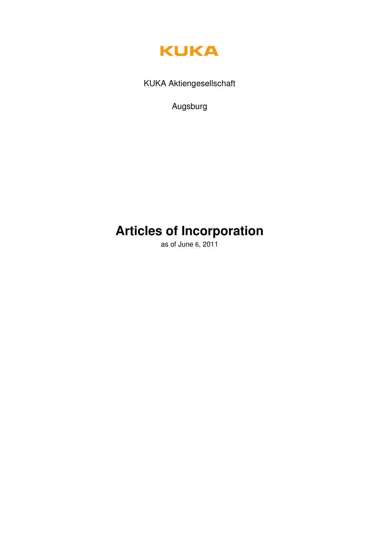

KUKA Aktiengesellschaft

Augsburg

# **Articles of Incorporation**

as of June 6, 2011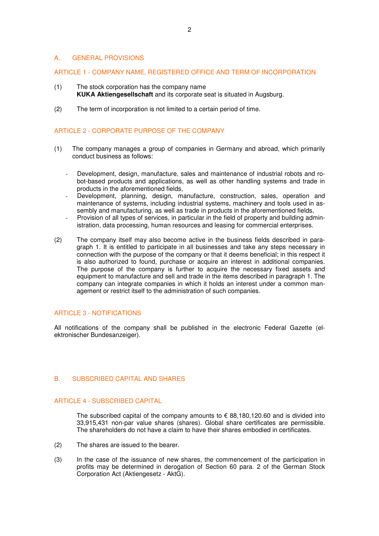## A. GENERAL PROVISIONS

#### ARTICLE 1 - COMPANY NAME, REGISTERED OFFICE AND TERM OF INCORPORATION

- (1) The stock corporation has the company name **KUKA Aktiengesellschaft** and its corporate seat is situated in Augsburg.
- (2) The term of incorporation is not limited to a certain period of time.

#### ARTICLE 2 - CORPORATE PURPOSE OF THE COMPANY

- (1) The company manages a group of companies in Germany and abroad, which primarily conduct business as follows:
	- Development, design, manufacture, sales and maintenance of industrial robots and robot-based products and applications, as well as other handling systems and trade in products in the aforementioned fields,
	- Development, planning, design, manufacture, construction, sales, operation and maintenance of systems, including industrial systems, machinery and tools used in assembly and manufacturing, as well as trade in products in the aforementioned fields,
	- Provision of all types of services, in particular in the field of property and building administration, data processing, human resources and leasing for commercial enterprises.
- (2) The company itself may also become active in the business fields described in paragraph 1. It is entitled to participate in all businesses and take any steps necessary in connection with the purpose of the company or that it deems beneficial; in this respect it is also authorized to found, purchase or acquire an interest in additional companies. The purpose of the company is further to acquire the necessary fixed assets and equipment to manufacture and sell and trade in the items described in paragraph 1. The company can integrate companies in which it holds an interest under a common management or restrict itself to the administration of such companies.

### ARTICLE 3 - NOTIFICATIONS

All notifications of the company shall be published in the electronic Federal Gazette (elektronischer Bundesanzeiger).

# B. SUBSCRIBED CAPITAL AND SHARES

## ARTICLE 4 - SUBSCRIBED CAPITAL

The subscribed capital of the company amounts to  $\epsilon$  88,180,120.60 and is divided into 33,915,431 non-par value shares (shares). Global share certificates are permissible. The shareholders do not have a claim to have their shares embodied in certificates.

- (2) The shares are issued to the bearer.
- (3) In the case of the issuance of new shares, the commencement of the participation in profits may be determined in derogation of Section 60 para. 2 of the German Stock Corporation Act (Aktiengesetz - AktG).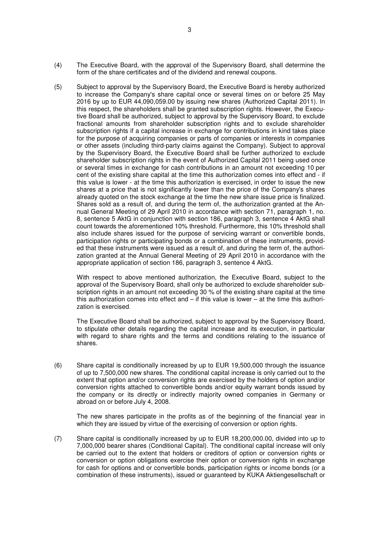- (4) The Executive Board, with the approval of the Supervisory Board, shall determine the form of the share certificates and of the dividend and renewal coupons.
- (5) Subject to approval by the Supervisory Board, the Executive Board is hereby authorized to increase the Company's share capital once or several times on or before 25 May 2016 by up to EUR 44,090,059.00 by issuing new shares (Authorized Capital 2011). In this respect, the shareholders shall be granted subscription rights. However, the Executive Board shall be authorized, subject to approval by the Supervisory Board, to exclude fractional amounts from shareholder subscription rights and to exclude shareholder subscription rights if a capital increase in exchange for contributions in kind takes place for the purpose of acquiring companies or parts of companies or interests in companies or other assets (including third-party claims against the Company). Subject to approval by the Supervisory Board, the Executive Board shall be further authorized to exclude shareholder subscription rights in the event of Authorized Capital 2011 being used once or several times in exchange for cash contributions in an amount not exceeding 10 per cent of the existing share capital at the time this authorization comes into effect and - if this value is lower - at the time this authorization is exercised, in order to issue the new shares at a price that is not significantly lower than the price of the Company's shares already quoted on the stock exchange at the time the new share issue price is finalized. Shares sold as a result of, and during the term of, the authorization granted at the Annual General Meeting of 29 April 2010 in accordance with section 71, paragraph 1, no. 8, sentence 5 AktG in conjunction with section 186, paragraph 3, sentence 4 AktG shall count towards the aforementioned 10% threshold. Furthermore, this 10% threshold shall also include shares issued for the purpose of servicing warrant or convertible bonds, participation rights or participating bonds or a combination of these instruments, provided that these instruments were issued as a result of, and during the term of, the authorization granted at the Annual General Meeting of 29 April 2010 in accordance with the appropriate application of section 186, paragraph 3, sentence 4 AktG.

 With respect to above mentioned authorization, the Executive Board, subject to the approval of the Supervisory Board, shall only be authorized to exclude shareholder subscription rights in an amount not exceeding 30 % of the existing share capital at the time this authorization comes into effect and – if this value is lower – at the time this authorization is exercised.

The Executive Board shall be authorized, subject to approval by the Supervisory Board, to stipulate other details regarding the capital increase and its execution, in particular with regard to share rights and the terms and conditions relating to the issuance of shares.

(6) Share capital is conditionally increased by up to EUR 19,500,000 through the issuance of up to 7,500,000 new shares. The conditional capital increase is only carried out to the extent that option and/or conversion rights are exercised by the holders of option and/or conversion rights attached to convertible bonds and/or equity warrant bonds issued by the company or its directly or indirectly majority owned companies in Germany or abroad on or before July 4, 2008.

The new shares participate in the profits as of the beginning of the financial year in which they are issued by virtue of the exercising of conversion or option rights.

(7) Share capital is conditionally increased by up to EUR 18,200,000.00, divided into up to 7,000,000 bearer shares (Conditional Capital). The conditional capital increase will only be carried out to the extent that holders or creditors of option or conversion rights or conversion or option obligations exercise their option or conversion rights in exchange for cash for options and or convertible bonds, participation rights or income bonds (or a combination of these instruments), issued or guaranteed by KUKA Aktiengesellschaft or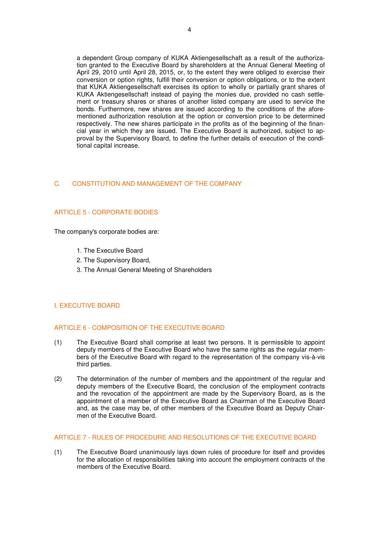a dependent Group company of KUKA Aktiengesellschaft as a result of the authorization granted to the Executive Board by shareholders at the Annual General Meeting of April 29, 2010 until April 28, 2015, or, to the extent they were obliged to exercise their conversion or option rights, fulfill their conversion or option obligations, or to the extent that KUKA Aktiengesellschaft exercises its option to wholly or partially grant shares of KUKA Aktiengesellschaft instead of paying the monies due, provided no cash settlement or treasury shares or shares of another listed company are used to service the bonds. Furthermore, new shares are issued according to the conditions of the aforementioned authorization resolution at the option or conversion price to be determined respectively. The new shares participate in the profits as of the beginning of the financial year in which they are issued. The Executive Board is authorized, subject to approval by the Supervisory Board, to define the further details of execution of the conditional capital increase.

# C. CONSTITUTION AND MANAGEMENT OF THE COMPANY

## ARTICLE 5 - CORPORATE BODIES

The company's corporate bodies are:

- 1. The Executive Board
- 2. The Supervisory Board,
- 3. The Annual General Meeting of Shareholders

#### I. EXECUTIVE BOARD

# ARTICLE 6 - COMPOSITION OF THE EXECUTIVE BOARD

- (1) The Executive Board shall comprise at least two persons. It is permissible to appoint deputy members of the Executive Board who have the same rights as the regular members of the Executive Board with regard to the representation of the company vis-à-vis third parties.
- (2) The determination of the number of members and the appointment of the regular and deputy members of the Executive Board, the conclusion of the employment contracts and the revocation of the appointment are made by the Supervisory Board, as is the appointment of a member of the Executive Board as Chairman of the Executive Board and, as the case may be, of other members of the Executive Board as Deputy Chairmen of the Executive Board.

#### ARTICLE 7 - RULES OF PROCEDURE AND RESOLUTIONS OF THE EXECUTIVE BOARD

(1) The Executive Board unanimously lays down rules of procedure for itself and provides for the allocation of responsibilities taking into account the employment contracts of the members of the Executive Board.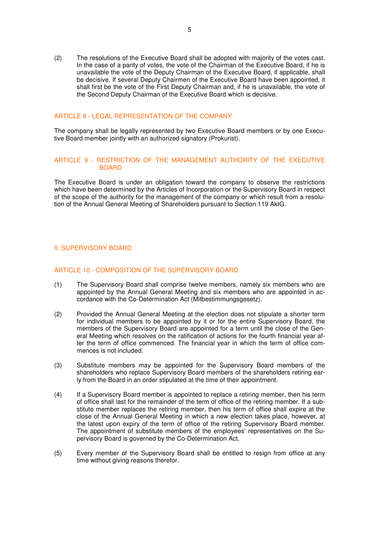(2) The resolutions of the Executive Board shall be adopted with majority of the votes cast. In the case of a parity of votes, the vote of the Chairman of the Executive Board, if he is unavailable the vote of the Deputy Chairman of the Executive Board, if applicable, shall be decisive. If several Deputy Chairmen of the Executive Board have been appointed, it shall first be the vote of the First Deputy Chairman and, if he is unavailable, the vote of the Second Deputy Chairman of the Executive Board which is decisive.

## ARTICLE 8 - LEGAL REPRESENTATION OF THE COMPANY

The company shall be legally represented by two Executive Board members or by one Executive Board member jointly with an authorized signatory (Prokurist).

## ARTICLE 9 - RESTRICTION OF THE MANAGEMENT AUTHORITY OF THE EXECUTIVE BOARD

The Executive Board is under an obligation toward the company to observe the restrictions which have been determined by the Articles of Incorporation or the Supervisory Board in respect of the scope of the authority for the management of the company or which result from a resolution of the Annual General Meeting of Shareholders pursuant to Section 119 AktG.

## II. SUPERVISORY BOARD

## ARTICLE 10 - COMPOSITION OF THE SUPERVISORY BOARD

- (1) The Supervisory Board shall comprise twelve members, namely six members who are appointed by the Annual General Meeting and six members who are appointed in accordance with the Co-Determination Act (Mitbestimmungsgesetz).
- (2) Provided the Annual General Meeting at the election does not stipulate a shorter term for individual members to be appointed by it or for the entire Supervisory Board, the members of the Supervisory Board are appointed for a term until the close of the General Meeting which resolves on the ratification of actions for the fourth financial year after the term of office commenced. The financial year in which the term of office commences is not included.
- (3) Substitute members may be appointed for the Supervisory Board members of the shareholders who replace Supervisory Board members of the shareholders retiring early from the Board in an order stipulated at the time of their appointment.
- (4) If a Supervisory Board member is appointed to replace a retiring member, then his term of office shall last for the remainder of the term of office of the retiring member. If a substitute member replaces the retiring member, then his term of office shall expire at the close of the Annual General Meeting in which a new election takes place, however, at the latest upon expiry of the term of office of the retiring Supervisory Board member. The appointment of substitute members of the employees' representatives on the Supervisory Board is governed by the Co-Determination Act.
- (5) Every member of the Supervisory Board shall be entitled to resign from office at any time without giving reasons therefor.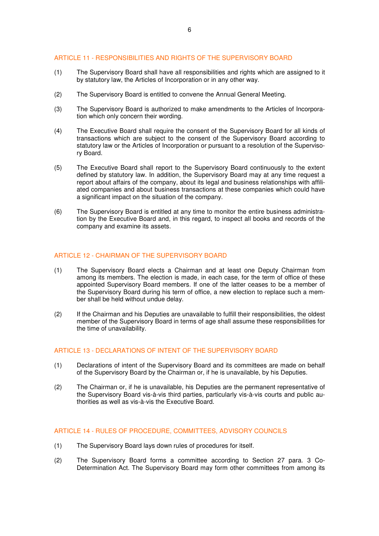## ARTICLE 11 - RESPONSIBILITIES AND RIGHTS OF THE SUPERVISORY BOARD

- (1) The Supervisory Board shall have all responsibilities and rights which are assigned to it by statutory law, the Articles of Incorporation or in any other way.
- (2) The Supervisory Board is entitled to convene the Annual General Meeting.
- (3) The Supervisory Board is authorized to make amendments to the Articles of Incorporation which only concern their wording.
- (4) The Executive Board shall require the consent of the Supervisory Board for all kinds of transactions which are subject to the consent of the Supervisory Board according to statutory law or the Articles of Incorporation or pursuant to a resolution of the Supervisory Board.
- (5) The Executive Board shall report to the Supervisory Board continuously to the extent defined by statutory law. In addition, the Supervisory Board may at any time request a report about affairs of the company, about its legal and business relationships with affiliated companies and about business transactions at these companies which could have a significant impact on the situation of the company.
- (6) The Supervisory Board is entitled at any time to monitor the entire business administration by the Executive Board and, in this regard, to inspect all books and records of the company and examine its assets.

#### ARTICLE 12 - CHAIRMAN OF THE SUPERVISORY BOARD

- (1) The Supervisory Board elects a Chairman and at least one Deputy Chairman from among its members. The election is made, in each case, for the term of office of these appointed Supervisory Board members. If one of the latter ceases to be a member of the Supervisory Board during his term of office, a new election to replace such a member shall be held without undue delay.
- (2) If the Chairman and his Deputies are unavailable to fulfill their responsibilities, the oldest member of the Supervisory Board in terms of age shall assume these responsibilities for the time of unavailability.

#### ARTICLE 13 - DECLARATIONS OF INTENT OF THE SUPERVISORY BOARD

- (1) Declarations of intent of the Supervisory Board and its committees are made on behalf of the Supervisory Board by the Chairman or, if he is unavailable, by his Deputies.
- (2) The Chairman or, if he is unavailable, his Deputies are the permanent representative of the Supervisory Board vis-à-vis third parties, particularly vis-à-vis courts and public authorities as well as vis-à-vis the Executive Board.

## ARTICLE 14 - RULES OF PROCEDURE, COMMITTEES, ADVISORY COUNCILS

- (1) The Supervisory Board lays down rules of procedures for itself.
- (2) The Supervisory Board forms a committee according to Section 27 para. 3 Co-Determination Act. The Supervisory Board may form other committees from among its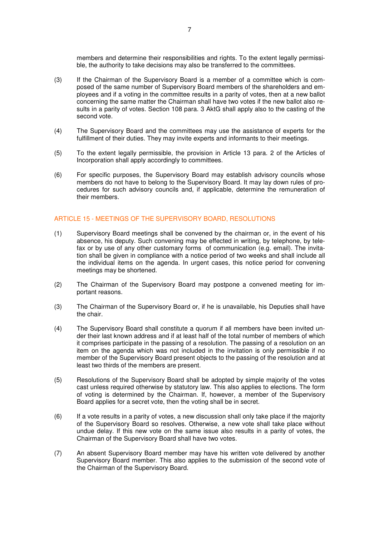members and determine their responsibilities and rights. To the extent legally permissible, the authority to take decisions may also be transferred to the committees.

- (3) If the Chairman of the Supervisory Board is a member of a committee which is composed of the same number of Supervisory Board members of the shareholders and employees and if a voting in the committee results in a parity of votes, then at a new ballot concerning the same matter the Chairman shall have two votes if the new ballot also results in a parity of votes. Section 108 para. 3 AktG shall apply also to the casting of the second vote.
- (4) The Supervisory Board and the committees may use the assistance of experts for the fulfillment of their duties. They may invite experts and informants to their meetings.
- (5) To the extent legally permissible, the provision in Article 13 para. 2 of the Articles of Incorporation shall apply accordingly to committees.
- (6) For specific purposes, the Supervisory Board may establish advisory councils whose members do not have to belong to the Supervisory Board. It may lay down rules of procedures for such advisory councils and, if applicable, determine the remuneration of their members.

#### ARTICLE 15 - MEETINGS OF THE SUPERVISORY BOARD, RESOLUTIONS

- (1) Supervisory Board meetings shall be convened by the chairman or, in the event of his absence, his deputy. Such convening may be effected in writing, by telephone, by telefax or by use of any other customary forms of communication (e.g. email). The invitation shall be given in compliance with a notice period of two weeks and shall include all the individual items on the agenda. In urgent cases, this notice period for convening meetings may be shortened.
- (2) The Chairman of the Supervisory Board may postpone a convened meeting for important reasons.
- (3) The Chairman of the Supervisory Board or, if he is unavailable, his Deputies shall have the chair.
- (4) The Supervisory Board shall constitute a quorum if all members have been invited under their last known address and if at least half of the total number of members of which it comprises participate in the passing of a resolution. The passing of a resolution on an item on the agenda which was not included in the invitation is only permissible if no member of the Supervisory Board present objects to the passing of the resolution and at least two thirds of the members are present.
- (5) Resolutions of the Supervisory Board shall be adopted by simple majority of the votes cast unless required otherwise by statutory law. This also applies to elections. The form of voting is determined by the Chairman. If, however, a member of the Supervisory Board applies for a secret vote, then the voting shall be in secret.
- (6) If a vote results in a parity of votes, a new discussion shall only take place if the majority of the Supervisory Board so resolves. Otherwise, a new vote shall take place without undue delay. If this new vote on the same issue also results in a parity of votes, the Chairman of the Supervisory Board shall have two votes.
- (7) An absent Supervisory Board member may have his written vote delivered by another Supervisory Board member. This also applies to the submission of the second vote of the Chairman of the Supervisory Board.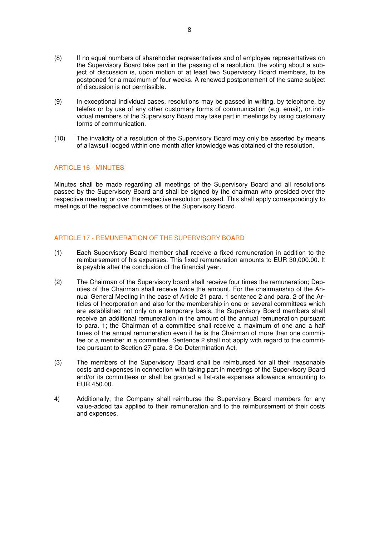- (8) If no equal numbers of shareholder representatives and of employee representatives on the Supervisory Board take part in the passing of a resolution, the voting about a subject of discussion is, upon motion of at least two Supervisory Board members, to be postponed for a maximum of four weeks. A renewed postponement of the same subject of discussion is not permissible.
- (9) In exceptional individual cases, resolutions may be passed in writing, by telephone, by telefax or by use of any other customary forms of communication (e.g. email), or individual members of the Supervisory Board may take part in meetings by using customary forms of communication.
- (10) The invalidity of a resolution of the Supervisory Board may only be asserted by means of a lawsuit lodged within one month after knowledge was obtained of the resolution.

## ARTICLE 16 - MINUTES

Minutes shall be made regarding all meetings of the Supervisory Board and all resolutions passed by the Supervisory Board and shall be signed by the chairman who presided over the respective meeting or over the respective resolution passed. This shall apply correspondingly to meetings of the respective committees of the Supervisory Board.

## ARTICLE 17 - REMUNERATION OF THE SUPERVISORY BOARD

- (1) Each Supervisory Board member shall receive a fixed remuneration in addition to the reimbursement of his expenses. This fixed remuneration amounts to EUR 30,000.00. It is payable after the conclusion of the financial year.
- (2) The Chairman of the Supervisory board shall receive four times the remuneration; Deputies of the Chairman shall receive twice the amount. For the chairmanship of the Annual General Meeting in the case of Article 21 para. 1 sentence 2 and para. 2 of the Articles of Incorporation and also for the membership in one or several committees which are established not only on a temporary basis, the Supervisory Board members shall receive an additional remuneration in the amount of the annual remuneration pursuant to para. 1; the Chairman of a committee shall receive a maximum of one and a half times of the annual remuneration even if he is the Chairman of more than one committee or a member in a committee. Sentence 2 shall not apply with regard to the committee pursuant to Section 27 para. 3 Co-Determination Act.
- (3) The members of the Supervisory Board shall be reimbursed for all their reasonable costs and expenses in connection with taking part in meetings of the Supervisory Board and/or its committees or shall be granted a flat-rate expenses allowance amounting to EUR 450.00.
- 4) Additionally, the Company shall reimburse the Supervisory Board members for any value-added tax applied to their remuneration and to the reimbursement of their costs and expenses.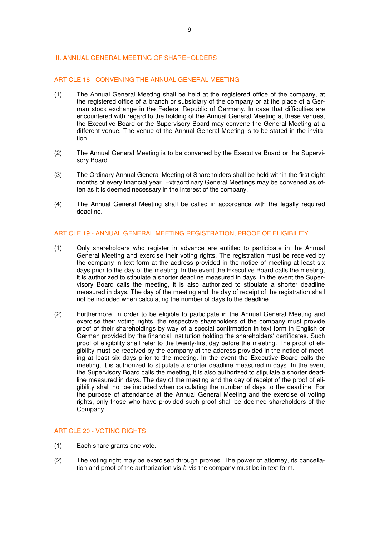## III. ANNUAL GENERAL MEETING OF SHAREHOLDERS

## ARTICLE 18 - CONVENING THE ANNUAL GENERAL MEETING

- (1) The Annual General Meeting shall be held at the registered office of the company, at the registered office of a branch or subsidiary of the company or at the place of a German stock exchange in the Federal Republic of Germany. In case that difficulties are encountered with regard to the holding of the Annual General Meeting at these venues, the Executive Board or the Supervisory Board may convene the General Meeting at a different venue. The venue of the Annual General Meeting is to be stated in the invitation.
- (2) The Annual General Meeting is to be convened by the Executive Board or the Supervisory Board.
- (3) The Ordinary Annual General Meeting of Shareholders shall be held within the first eight months of every financial year. Extraordinary General Meetings may be convened as often as it is deemed necessary in the interest of the company.
- (4) The Annual General Meeting shall be called in accordance with the legally required deadline.

## ARTICLE 19 - ANNUAL GENERAL MEETING REGISTRATION, PROOF OF ELIGIBILITY

- (1) Only shareholders who register in advance are entitled to participate in the Annual General Meeting and exercise their voting rights. The registration must be received by the company in text form at the address provided in the notice of meeting at least six days prior to the day of the meeting. In the event the Executive Board calls the meeting, it is authorized to stipulate a shorter deadline measured in days. In the event the Supervisory Board calls the meeting, it is also authorized to stipulate a shorter deadline measured in days. The day of the meeting and the day of receipt of the registration shall not be included when calculating the number of days to the deadline.
- (2) Furthermore, in order to be eligible to participate in the Annual General Meeting and exercise their voting rights, the respective shareholders of the company must provide proof of their shareholdings by way of a special confirmation in text form in English or German provided by the financial institution holding the shareholders' certificates. Such proof of eligibility shall refer to the twenty-first day before the meeting. The proof of eligibility must be received by the company at the address provided in the notice of meeting at least six days prior to the meeting. In the event the Executive Board calls the meeting, it is authorized to stipulate a shorter deadline measured in days. In the event the Supervisory Board calls the meeting, it is also authorized to stipulate a shorter deadline measured in days. The day of the meeting and the day of receipt of the proof of eligibility shall not be included when calculating the number of days to the deadline. For the purpose of attendance at the Annual General Meeting and the exercise of voting rights, only those who have provided such proof shall be deemed shareholders of the Company.

# ARTICLE 20 - VOTING RIGHTS

- (1) Each share grants one vote.
- (2) The voting right may be exercised through proxies. The power of attorney, its cancellation and proof of the authorization vis-à-vis the company must be in text form.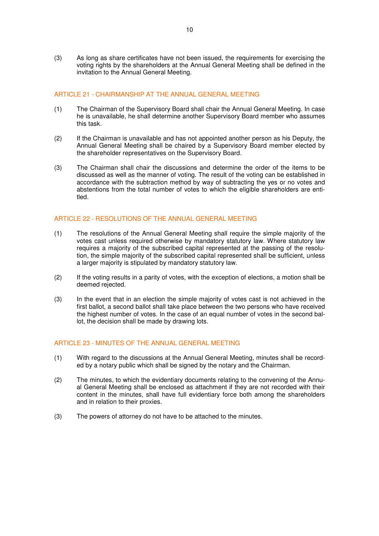(3) As long as share certificates have not been issued, the requirements for exercising the voting rights by the shareholders at the Annual General Meeting shall be defined in the invitation to the Annual General Meeting.

# ARTICLE 21 - CHAIRMANSHIP AT THE ANNUAL GENERAL MEETING

- (1) The Chairman of the Supervisory Board shall chair the Annual General Meeting. In case he is unavailable, he shall determine another Supervisory Board member who assumes this task.
- (2) If the Chairman is unavailable and has not appointed another person as his Deputy, the Annual General Meeting shall be chaired by a Supervisory Board member elected by the shareholder representatives on the Supervisory Board.
- (3) The Chairman shall chair the discussions and determine the order of the items to be discussed as well as the manner of voting. The result of the voting can be established in accordance with the subtraction method by way of subtracting the yes or no votes and abstentions from the total number of votes to which the eligible shareholders are entitled.

## ARTICLE 22 - RESOLUTIONS OF THE ANNUAL GENERAL MEETING

- (1) The resolutions of the Annual General Meeting shall require the simple majority of the votes cast unless required otherwise by mandatory statutory law. Where statutory law requires a majority of the subscribed capital represented at the passing of the resolution, the simple majority of the subscribed capital represented shall be sufficient, unless a larger majority is stipulated by mandatory statutory law.
- (2) If the voting results in a parity of votes, with the exception of elections, a motion shall be deemed rejected.
- (3) In the event that in an election the simple majority of votes cast is not achieved in the first ballot, a second ballot shall take place between the two persons who have received the highest number of votes. In the case of an equal number of votes in the second ballot, the decision shall be made by drawing lots.

#### ARTICLE 23 - MINUTES OF THE ANNUAL GENERAL MEETING

- (1) With regard to the discussions at the Annual General Meeting, minutes shall be recorded by a notary public which shall be signed by the notary and the Chairman.
- (2) The minutes, to which the evidentiary documents relating to the convening of the Annual General Meeting shall be enclosed as attachment if they are not recorded with their content in the minutes, shall have full evidentiary force both among the shareholders and in relation to their proxies.
- (3) The powers of attorney do not have to be attached to the minutes.